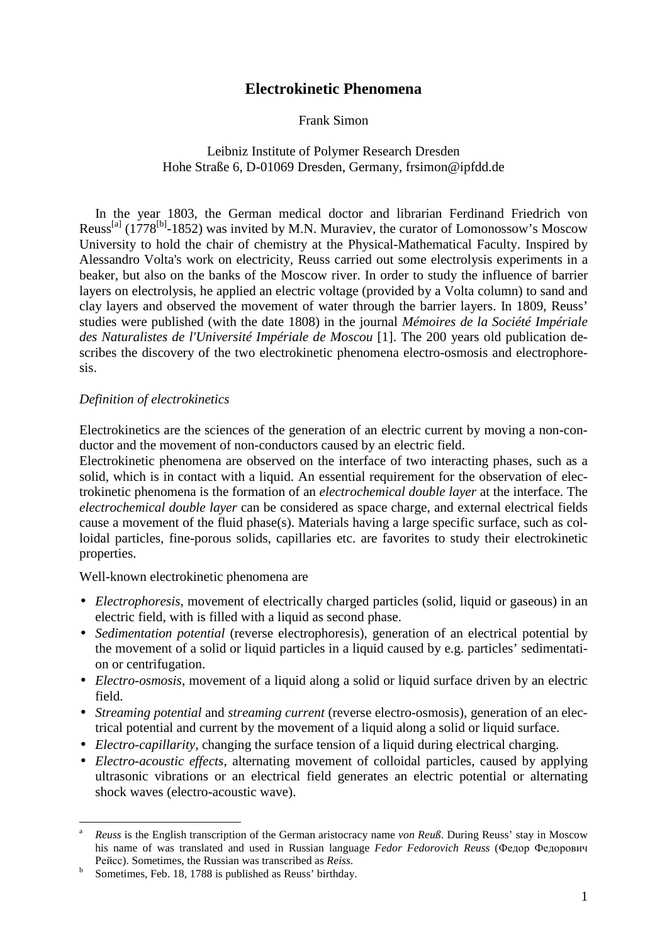# **Electrokinetic Phenomena**

### Frank Simon

# Leibniz Institute of Polymer Research Dresden Hohe Straße 6, D-01069 Dresden, Germany, frsimon@ipfdd.de

In the year 1803, the German medical doctor and librarian Ferdinand Friedrich von Reuss<sup>[a]</sup> (1778<sup>[b]</sup>-1852) was invited by M.N. Muraviev, the curator of Lomonossow's Moscow University to hold the chair of chemistry at the Physical-Mathematical Faculty. Inspired by Alessandro Volta's work on electricity, Reuss carried out some electrolysis experiments in a beaker, but also on the banks of the Moscow river. In order to study the influence of barrier layers on electrolysis, he applied an electric voltage (provided by a Volta column) to sand and clay layers and observed the movement of water through the barrier layers. In 1809, Reuss' studies were published (with the date 1808) in the journal *Mémoires de la Société Impériale des Naturalistes de l'Université Impériale de Moscou* [1]. The 200 years old publication describes the discovery of the two electrokinetic phenomena electro-osmosis and electrophoresis.

### *Definition of electrokinetics*

Electrokinetics are the sciences of the generation of an electric current by moving a non-conductor and the movement of non-conductors caused by an electric field.

Electrokinetic phenomena are observed on the interface of two interacting phases, such as a solid, which is in contact with a liquid. An essential requirement for the observation of electrokinetic phenomena is the formation of an *electrochemical double layer* at the interface. The *electrochemical double layer* can be considered as space charge, and external electrical fields cause a movement of the fluid phase(s). Materials having a large specific surface, such as colloidal particles, fine-porous solids, capillaries etc. are favorites to study their electrokinetic properties.

Well-known electrokinetic phenomena are

- *Electrophoresis*, movement of electrically charged particles (solid, liquid or gaseous) in an electric field, with is filled with a liquid as second phase.
- *Sedimentation potential* (reverse electrophoresis), generation of an electrical potential by the movement of a solid or liquid particles in a liquid caused by e.g. particles' sedimentation or centrifugation.
- *Electro-osmosis*, movement of a liquid along a solid or liquid surface driven by an electric field.
- *Streaming potential* and *streaming current* (reverse electro-osmosis), generation of an electrical potential and current by the movement of a liquid along a solid or liquid surface.
- *Electro-capillarity*, changing the surface tension of a liquid during electrical charging.
- *Electro-acoustic effects*, alternating movement of colloidal particles, caused by applying ultrasonic vibrations or an electrical field generates an electric potential or alternating shock waves (electro-acoustic wave).

 $\overline{a}$ 

<sup>a</sup> *Reuss* is the English transcription of the German aristocracy name *von Reuß*. During Reuss' stay in Moscow his name of was translated and used in Russian language *Fedor Fedorovich Reuss* (Федор Федорович Рейсс). Sometimes, the Russian was transcribed as *Reiss*.

b Sometimes, Feb. 18, 1788 is published as Reuss' birthday.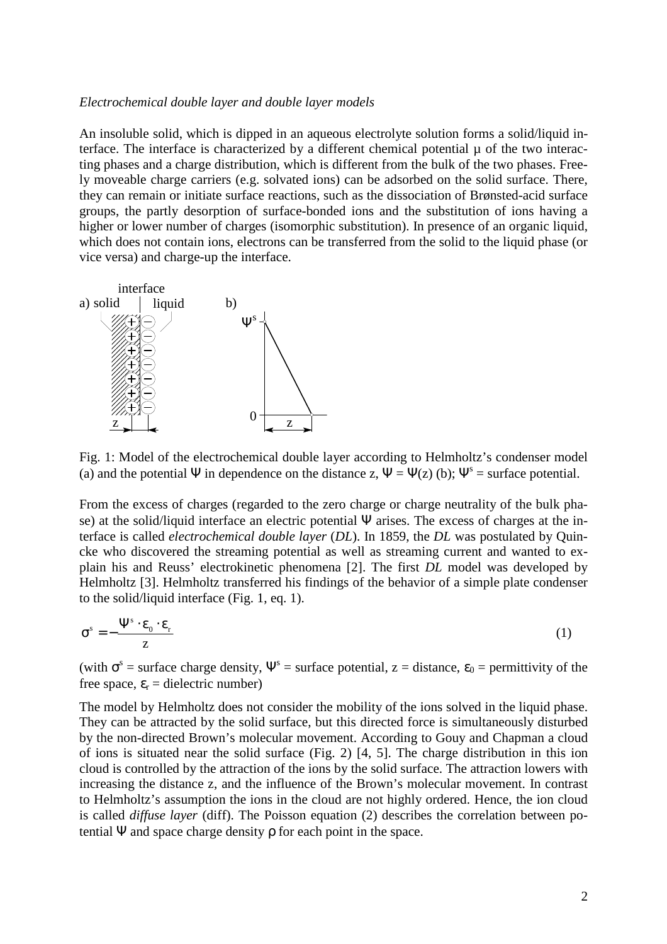#### *Electrochemical double layer and double layer models*

An insoluble solid, which is dipped in an aqueous electrolyte solution forms a solid/liquid interface. The interface is characterized by a different chemical potential  $\mu$  of the two interacting phases and a charge distribution, which is different from the bulk of the two phases. Freely moveable charge carriers (e.g. solvated ions) can be adsorbed on the solid surface. There, they can remain or initiate surface reactions, such as the dissociation of Brønsted-acid surface groups, the partly desorption of surface-bonded ions and the substitution of ions having a higher or lower number of charges (isomorphic substitution). In presence of an organic liquid, which does not contain ions, electrons can be transferred from the solid to the liquid phase (or vice versa) and charge-up the interface.



Fig. 1: Model of the electrochemical double layer according to Helmholtz's condenser model (a) and the potential  $\Psi$  in dependence on the distance z,  $\Psi = \Psi(z)$  (b);  $\Psi^s$  = surface potential.

From the excess of charges (regarded to the zero charge or charge neutrality of the bulk phase) at the solid/liquid interface an electric potential Ψ arises. The excess of charges at the interface is called *electrochemical double layer* (*DL*). In 1859, the *DL* was postulated by Quincke who discovered the streaming potential as well as streaming current and wanted to explain his and Reuss' electrokinetic phenomena [2]. The first *DL* model was developed by Helmholtz [3]. Helmholtz transferred his findings of the behavior of a simple plate condenser to the solid/liquid interface (Fig. 1, eq. 1).

$$
\sigma^s = -\frac{\Psi^s \cdot \varepsilon_0 \cdot \varepsilon_r}{z} \tag{1}
$$

(with  $\sigma^s$  = surface charge density,  $\Psi^s$  = surface potential, z = distance,  $\varepsilon_0$  = permittivity of the free space,  $\varepsilon_r$  = dielectric number)

The model by Helmholtz does not consider the mobility of the ions solved in the liquid phase. They can be attracted by the solid surface, but this directed force is simultaneously disturbed by the non-directed Brown's molecular movement. According to Gouy and Chapman a cloud of ions is situated near the solid surface (Fig. 2) [4, 5]. The charge distribution in this ion cloud is controlled by the attraction of the ions by the solid surface. The attraction lowers with increasing the distance z, and the influence of the Brown's molecular movement. In contrast to Helmholtz's assumption the ions in the cloud are not highly ordered. Hence, the ion cloud is called *diffuse layer* (diff). The Poisson equation (2) describes the correlation between potential  $\Psi$  and space charge density  $\rho$  for each point in the space.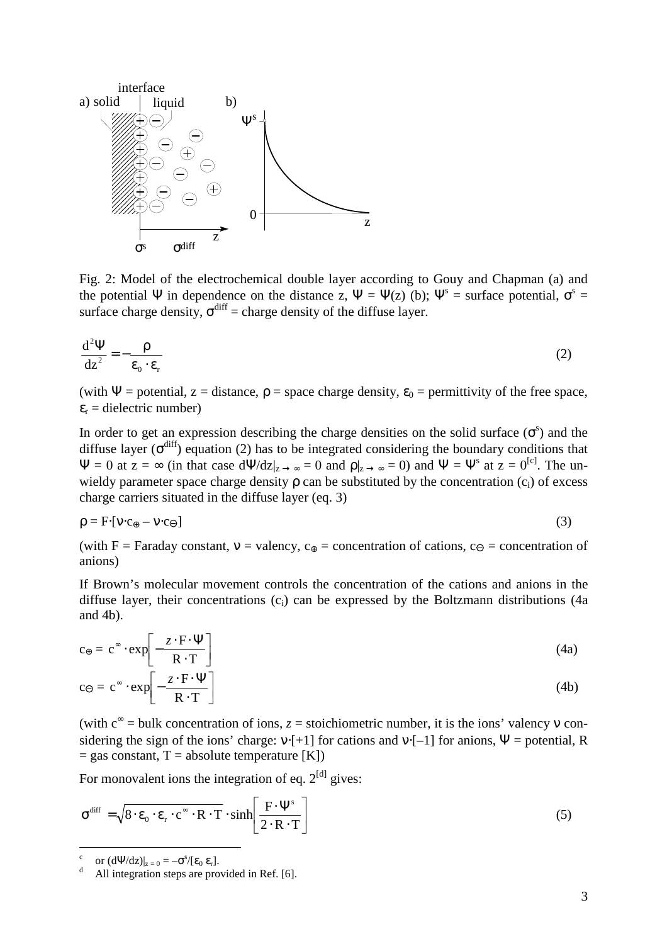

Fig. 2: Model of the electrochemical double layer according to Gouy and Chapman (a) and the potential  $\Psi$  in dependence on the distance z,  $\Psi = \Psi(z)$  (b);  $\Psi^s$  = surface potential,  $\sigma^s$  = surface charge density,  $\sigma^{\text{diff}}$  = charge density of the diffuse layer.

$$
\frac{d^2\Psi}{dz^2} = -\frac{\rho}{\varepsilon_0 \cdot \varepsilon_r} \tag{2}
$$

(with  $\Psi$  = potential, z = distance,  $\rho$  = space charge density,  $\varepsilon_0$  = permittivity of the free space,  $\varepsilon_r$  = dielectric number)

In order to get an expression describing the charge densities on the solid surface  $(\sigma^s)$  and the diffuse layer ( $\sigma^{\text{diff}}$ ) equation (2) has to be integrated considering the boundary conditions that  $\Psi = 0$  at  $z = \infty$  (in that case  $d\Psi/dz|_{z\to\infty} = 0$  and  $\rho|_{z\to\infty} = 0$ ) and  $\Psi = \Psi^s$  at  $z = 0^{[c]}$ . The unwieldy parameter space charge density  $\rho$  can be substituted by the concentration  $(c_i)$  of excess charge carriers situated in the diffuse layer (eq. 3)

$$
\rho = F \cdot [v \cdot c_{\oplus} - v \cdot c_{\ominus}] \tag{3}
$$

(with F = Faraday constant,  $v =$  valency,  $c_{\theta} =$  concentration of cations,  $c_{\theta} =$  concentration of anions)

If Brown's molecular movement controls the concentration of the cations and anions in the diffuse layer, their concentrations (c<sub>i</sub>) can be expressed by the Boltzmann distributions (4a and 4b).

$$
c_{\oplus} = c^{\infty} \cdot \exp\left[-\frac{z \cdot F \cdot \Psi}{R \cdot T}\right]
$$
 (4a)

$$
c \ominus = c^{\infty} \cdot \exp\left[-\frac{z \cdot F \cdot \Psi}{R \cdot T}\right]
$$
 (4b)

(with  $c^{\infty}$  = bulk concentration of ions,  $z$  = stoichiometric number, it is the ions' valency v considering the sign of the ions' charge:  $v \cdot [+1]$  for cations and  $v \cdot [-1]$  for anions,  $\Psi =$  potential, R  $=$  gas constant, T = absolute temperature [K])

For monovalent ions the integration of eq.  $2^{[d]}$  gives:

$$
\sigma^{\text{diff}} = \sqrt{8 \cdot \varepsilon_0 \cdot \varepsilon_r \cdot c^{\infty} \cdot R \cdot T} \cdot \sinh\left[\frac{F \cdot \Psi^s}{2 \cdot R \cdot T}\right]
$$
 (5)

c or  $(d\Psi/dz)|_{z=0} = -\sigma^s/[\epsilon_0 \epsilon_r].$ 

d All integration steps are provided in Ref. [6].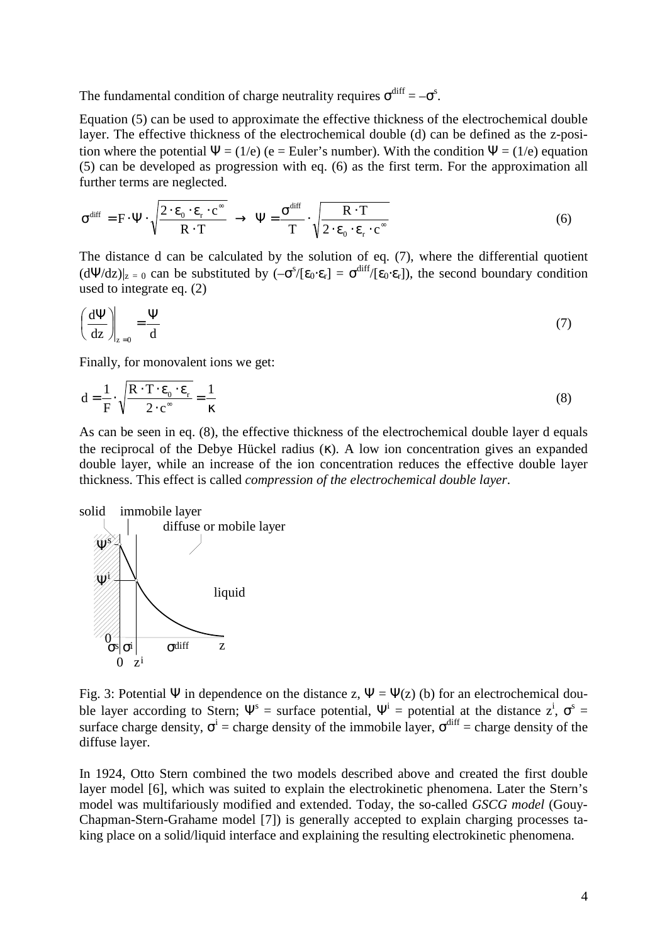The fundamental condition of charge neutrality requires  $\sigma^{\text{diff}} = -\sigma^{\text{s}}$ .

Equation (5) can be used to approximate the effective thickness of the electrochemical double layer. The effective thickness of the electrochemical double (d) can be defined as the z-position where the potential  $\Psi = (1/e)$  (e = Euler's number). With the condition  $\Psi = (1/e)$  equation (5) can be developed as progression with eq. (6) as the first term. For the approximation all further terms are neglected.

$$
\sigma^{\text{diff}} = F \cdot \Psi \cdot \sqrt{\frac{2 \cdot \varepsilon_0 \cdot \varepsilon_r \cdot c^{\infty}}{R \cdot T}} \rightarrow \Psi = \frac{\sigma^{\text{diff}}}{T} \cdot \sqrt{\frac{R \cdot T}{2 \cdot \varepsilon_0 \cdot \varepsilon_r \cdot c^{\infty}}}
$$
(6)

The distance d can be calculated by the solution of eq. (7), where the differential quotient  $(d\Psi/dz)|_{z=0}$  can be substituted by  $(-\sigma^s/[{\epsilon_0 \cdot \epsilon_r}] = \sigma^{diff}/[{\epsilon_0 \cdot \epsilon_r}]$ , the second boundary condition used to integrate eq. (2)

$$
\left(\frac{d\Psi}{dz}\right)_{z=0} = \frac{\Psi}{d}
$$
 (7)

Finally, for monovalent ions we get:

$$
d = \frac{1}{F} \cdot \sqrt{\frac{R \cdot T \cdot \varepsilon_0 \cdot \varepsilon_r}{2 \cdot c^*}} = \frac{1}{\kappa}
$$
 (8)

As can be seen in eq. (8), the effective thickness of the electrochemical double layer d equals the reciprocal of the Debye Hückel radius (κ). A low ion concentration gives an expanded double layer, while an increase of the ion concentration reduces the effective double layer thickness. This effect is called *compression of the electrochemical double layer*.



Fig. 3: Potential Ψ in dependence on the distance z,  $\Psi = \Psi(z)$  (b) for an electrochemical double layer according to Stern;  $\Psi^s$  = surface potential,  $\Psi^i$  = potential at the distance  $Z^i$ ,  $\sigma^s$  = surface charge density,  $\sigma^i$  = charge density of the immobile layer,  $\sigma^{diff}$  = charge density of the diffuse layer.

In 1924, Otto Stern combined the two models described above and created the first double layer model [6], which was suited to explain the electrokinetic phenomena. Later the Stern's model was multifariously modified and extended. Today, the so-called *GSCG model* (Gouy-Chapman-Stern-Grahame model [7]) is generally accepted to explain charging processes taking place on a solid/liquid interface and explaining the resulting electrokinetic phenomena.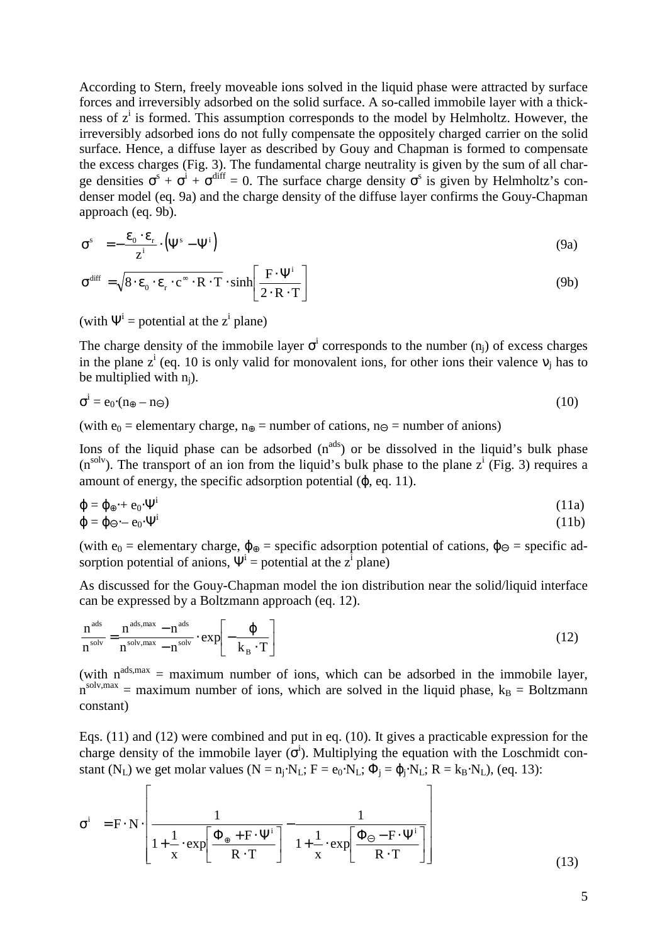According to Stern, freely moveable ions solved in the liquid phase were attracted by surface forces and irreversibly adsorbed on the solid surface. A so-called immobile layer with a thickness of z<sup>i</sup> is formed. This assumption corresponds to the model by Helmholtz. However, the irreversibly adsorbed ions do not fully compensate the oppositely charged carrier on the solid surface. Hence, a diffuse layer as described by Gouy and Chapman is formed to compensate the excess charges (Fig. 3). The fundamental charge neutrality is given by the sum of all charge densities  $\sigma^s + \sigma^i + \sigma^{diff} = 0$ . The surface charge density  $\sigma^s$  is given by Helmholtz's condenser model (eq. 9a) and the charge density of the diffuse layer confirms the Gouy-Chapman approach (eq. 9b).

$$
\sigma^s = -\frac{\varepsilon_0 \cdot \varepsilon_r}{z^i} \cdot (\Psi^s - \Psi^i)
$$
 (9a)

$$
\sigma^{\text{diff}} = \sqrt{8 \cdot \varepsilon_0 \cdot \varepsilon_r \cdot c^{\infty} \cdot R \cdot T} \cdot \sinh\left[\frac{F \cdot \Psi^i}{2 \cdot R \cdot T}\right]
$$
(9b)

(with  $\Psi^i$  = potential at the z<sup>i</sup> plane)

The charge density of the immobile layer  $\sigma^i$  corresponds to the number  $(n_j)$  of excess charges in the plane  $z^i$  (eq. 10 is only valid for monovalent ions, for other ions their valence  $v_j$  has to be multiplied with  $n_i$ ).

$$
\sigma^i = e_0 \cdot (n_{\oplus} - n_{\ominus}) \tag{10}
$$

(with  $e_0$  = elementary charge,  $n_{\oplus}$  = number of cations,  $n_{\ominus}$  = number of anions)

Ions of the liquid phase can be adsorbed  $(n^{ads})$  or be dissolved in the liquid's bulk phase  $(n^{solv})$ . The transport of an ion from the liquid's bulk phase to the plane  $z^i$  (Fig. 3) requires a amount of energy, the specific adsorption potential (ϕ, eq. 11).

$$
\varphi = \varphi_{\oplus} + e_0 \cdot \Psi^i \tag{11a}
$$
\n
$$
\varphi = \varphi_{\ominus} - e_0 \cdot \Psi^i \tag{11b}
$$

(with  $e_0$  = elementary charge,  $\phi_{\theta}$  = specific adsorption potential of cations,  $\phi_{\theta}$  = specific adsorption potential of anions,  $\Psi^i$  = potential at the z<sup>i</sup> plane)

As discussed for the Gouy-Chapman model the ion distribution near the solid/liquid interface can be expressed by a Boltzmann approach (eq. 12).

$$
\frac{n^{\text{ads}}}{n^{\text{solv}}} = \frac{n^{\text{ads}, \text{max}} - n^{\text{ads}}}{n^{\text{solv}, \text{max}} - n^{\text{solv}}} \cdot \exp\left[-\frac{\varphi}{k_B \cdot T}\right]
$$
(12)

(with  $n^{ads,max}$  = maximum number of ions, which can be adsorbed in the immobile layer,  $n^{solv, max}$  = maximum number of ions, which are solved in the liquid phase,  $k_B$  = Boltzmann constant)

Eqs. (11) and (12) were combined and put in eq. (10). It gives a practicable expression for the charge density of the immobile layer  $(\sigma^i)$ . Multiplying the equation with the Loschmidt constant (N<sub>L</sub>) we get molar values (N = n<sub>j</sub>·N<sub>L</sub>; F = e<sub>0</sub>·N<sub>L</sub>;  $\Phi_j = \varphi_j \cdot N_L$ ; R = k<sub>B</sub>·N<sub>L</sub>), (eq. 13):

$$
\sigma^{i} = F \cdot N \cdot \left[ \frac{1}{1 + \frac{1}{x} \cdot \exp\left[\frac{\Phi_{\oplus} + F \cdot \Psi^{i}}{R \cdot T}\right]} - \frac{1}{1 + \frac{1}{x} \cdot \exp\left[\frac{\Phi_{\ominus} - F \cdot \Psi^{i}}{R \cdot T}\right]} \right]
$$
(13)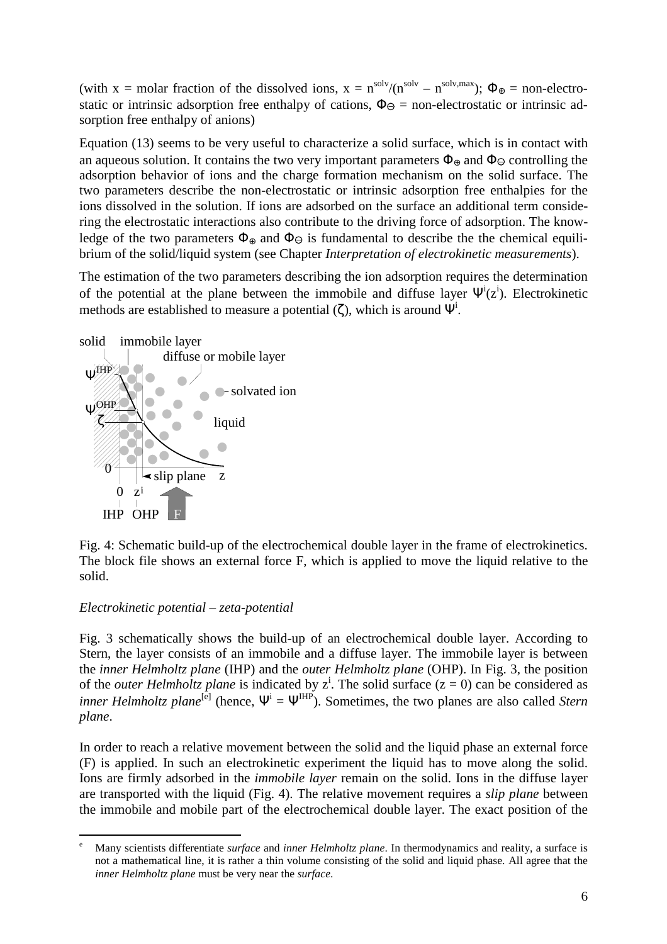(with x = molar fraction of the dissolved ions,  $x = n^{solv}/(n^{solv} - n^{solv, max})$ ;  $\Phi_{\oplus}$  = non-electrostatic or intrinsic adsorption free enthalpy of cations,  $\Phi_{\Theta}$  = non-electrostatic or intrinsic adsorption free enthalpy of anions)

Equation (13) seems to be very useful to characterize a solid surface, which is in contact with an aqueous solution. It contains the two very important parameters  $\Phi_{\oplus}$  and  $\Phi_{\ominus}$  controlling the adsorption behavior of ions and the charge formation mechanism on the solid surface. The two parameters describe the non-electrostatic or intrinsic adsorption free enthalpies for the ions dissolved in the solution. If ions are adsorbed on the surface an additional term considering the electrostatic interactions also contribute to the driving force of adsorption. The knowledge of the two parameters  $\Phi_{\oplus}$  and  $\Phi_{\ominus}$  is fundamental to describe the the chemical equilibrium of the solid/liquid system (see Chapter *Interpretation of electrokinetic measurements*).

The estimation of the two parameters describing the ion adsorption requires the determination of the potential at the plane between the immobile and diffuse layer  $\Psi^i(z^i)$ . Electrokinetic methods are established to measure a potential  $(\zeta)$ , which is around  $\Psi^i$ .



Fig. 4: Schematic build-up of the electrochemical double layer in the frame of electrokinetics. The block file shows an external force F, which is applied to move the liquid relative to the solid.

### *Electrokinetic potential – zeta-potential*

Fig. 3 schematically shows the build-up of an electrochemical double layer. According to Stern, the layer consists of an immobile and a diffuse layer. The immobile layer is between the *inner Helmholtz plane* (IHP) and the *outer Helmholtz plane* (OHP). In Fig. 3, the position of the *outer Helmholtz plane* is indicated by  $z^i$ . The solid surface  $(z = 0)$  can be considered as *inner Helmholtz plane*<sup>[e]</sup> (hence,  $\Psi^i = \Psi^{IHP}$ ). Sometimes, the two planes are also called *Stern plane*.

In order to reach a relative movement between the solid and the liquid phase an external force (F) is applied. In such an electrokinetic experiment the liquid has to move along the solid. Ions are firmly adsorbed in the *immobile layer* remain on the solid. Ions in the diffuse layer are transported with the liquid (Fig. 4). The relative movement requires a *slip plane* between the immobile and mobile part of the electrochemical double layer. The exact position of the

 $\overline{a}$ e Many scientists differentiate *surface* and *inner Helmholtz plane*. In thermodynamics and reality, a surface is not a mathematical line, it is rather a thin volume consisting of the solid and liquid phase. All agree that the *inner Helmholtz plane* must be very near the *surface*.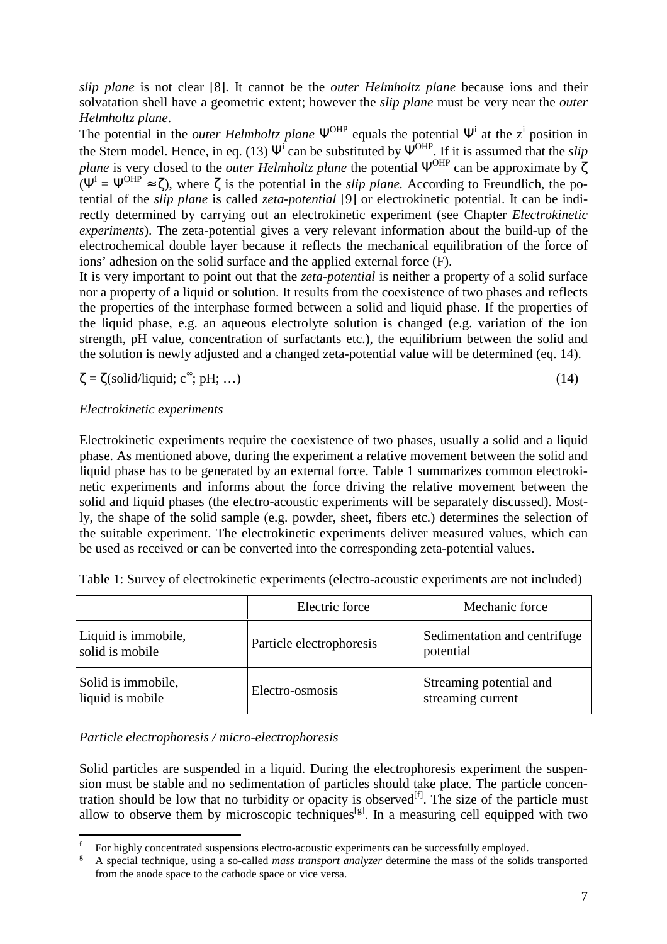*slip plane* is not clear [8]. It cannot be the *outer Helmholtz plane* because ions and their solvatation shell have a geometric extent; however the *slip plane* must be very near the *outer Helmholtz plane*.

The potential in the *outer Helmholtz plane*  $\Psi^{\text{OHP}}$  equals the potential  $\Psi^i$  at the z<sup>i</sup> position in the Stern model. Hence, in eq. (13)  $\Psi^i$  can be substituted by  $\Psi^{OHP}$ . If it is assumed that the *slip plane* is very closed to the *outer Helmholtz plane* the potential  $\Psi^{\text{OHP}}$  can be approximate by ζ  $(\Psi^{i} = \Psi^{OHP} \approx \zeta)$ , where  $\zeta$  is the potential in the *slip plane*. According to Freundlich, the potential of the *slip plane* is called *zeta-potential* [9] or electrokinetic potential. It can be indirectly determined by carrying out an electrokinetic experiment (see Chapter *Electrokinetic experiments*). The zeta-potential gives a very relevant information about the build-up of the electrochemical double layer because it reflects the mechanical equilibration of the force of ions' adhesion on the solid surface and the applied external force (F).

It is very important to point out that the *zeta-potential* is neither a property of a solid surface nor a property of a liquid or solution. It results from the coexistence of two phases and reflects the properties of the interphase formed between a solid and liquid phase. If the properties of the liquid phase, e.g. an aqueous electrolyte solution is changed (e.g. variation of the ion strength, pH value, concentration of surfactants etc.), the equilibrium between the solid and the solution is newly adjusted and a changed zeta-potential value will be determined (eq. 14).

$$
\zeta = \zeta(\text{solid/liquid}; \, \text{c}^{\infty}; \, \text{pH}; \, \dots) \tag{14}
$$

# *Electrokinetic experiments*

Electrokinetic experiments require the coexistence of two phases, usually a solid and a liquid phase. As mentioned above, during the experiment a relative movement between the solid and liquid phase has to be generated by an external force. Table 1 summarizes common electrokinetic experiments and informs about the force driving the relative movement between the solid and liquid phases (the electro-acoustic experiments will be separately discussed). Mostly, the shape of the solid sample (e.g. powder, sheet, fibers etc.) determines the selection of the suitable experiment. The electrokinetic experiments deliver measured values, which can be used as received or can be converted into the corresponding zeta-potential values.

|                                        | Electric force           | Mechanic force                               |
|----------------------------------------|--------------------------|----------------------------------------------|
| Liquid is immobile,<br>solid is mobile | Particle electrophoresis | Sedimentation and centrifuge<br>potential    |
| Solid is immobile,<br>liquid is mobile | Electro-osmosis          | Streaming potential and<br>streaming current |

Table 1: Survey of electrokinetic experiments (electro-acoustic experiments are not included)

### *Particle electrophoresis / micro-electrophoresis*

Solid particles are suspended in a liquid. During the electrophoresis experiment the suspension must be stable and no sedimentation of particles should take place. The particle concentration should be low that no turbidity or opacity is observed<sup>[f]</sup>. The size of the particle must allow to observe them by microscopic techniques<sup>[g]</sup>. In a measuring cell equipped with two

 $\overline{a}$ f For highly concentrated suspensions electro-acoustic experiments can be successfully employed.

g A special technique, using a so-called *mass transport analyzer* determine the mass of the solids transported from the anode space to the cathode space or vice versa.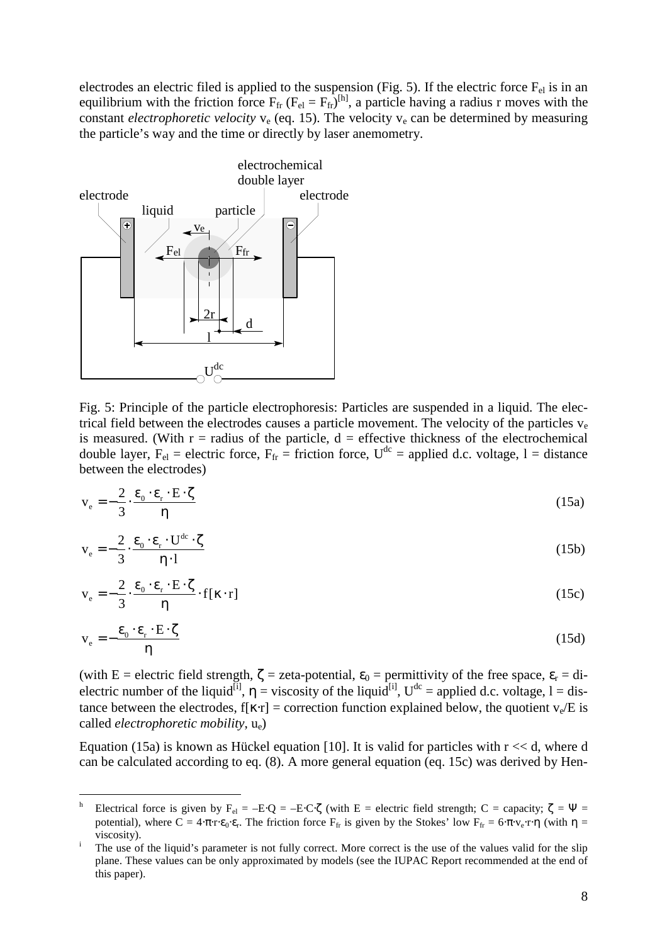electrodes an electric filed is applied to the suspension (Fig. 5). If the electric force  $F_{el}$  is in an equilibrium with the friction force  $F_{fr}$  ( $F_{el} = F_{fr}$ )<sup>[h]</sup>, a particle having a radius r moves with the constant *electrophoretic velocity*  $v_e$  (eq. 15). The velocity  $v_e$  can be determined by measuring the particle's way and the time or directly by laser anemometry.



 $\overline{a}$ 

Fig. 5: Principle of the particle electrophoresis: Particles are suspended in a liquid. The electrical field between the electrodes causes a particle movement. The velocity of the particles  $v_e$ is measured. (With  $r =$  radius of the particle,  $d =$  effective thickness of the electrochemical double layer,  $F_{el}$  = electric force,  $F_{fr}$  = friction force,  $U^{dc}$  = applied d.c. voltage, l = distance between the electrodes)

$$
v_e = -\frac{2}{3} \cdot \frac{\varepsilon_0 \cdot \varepsilon_r \cdot E \cdot \zeta}{\eta}
$$
 (15a)

$$
v_e = -\frac{2}{3} \cdot \frac{\varepsilon_0 \cdot \varepsilon_r \cdot U^{dc} \cdot \zeta}{\eta \cdot l}
$$
 (15b)

$$
v_e = -\frac{2}{3} \cdot \frac{\varepsilon_0 \cdot \varepsilon_r \cdot E \cdot \zeta}{\eta} \cdot f[\kappa \cdot r]
$$
 (15c)

$$
v_e = -\frac{\varepsilon_0 \cdot \varepsilon_r \cdot E \cdot \zeta}{\eta}
$$
 (15d)

(with E = electric field strength,  $\zeta$  = zeta-potential,  $\varepsilon_0$  = permittivity of the free space,  $\varepsilon_r$  = dielectric number of the liquid<sup>[i]</sup>,  $\eta$  = viscosity of the liquid<sup>[i]</sup>, U<sup>dc</sup> = applied d.c. voltage, l = distance between the electrodes,  $f[x \cdot r] =$  correction function explained below, the quotient  $v_e/E$  is called *electrophoretic mobility*, ue)

Equation (15a) is known as Hückel equation [10]. It is valid for particles with  $r \ll d$ , where d can be calculated according to eq. (8). A more general equation (eq. 15c) was derived by Hen-

h Electrical force is given by  $F_{el} = -E \cdot Q = -E \cdot C \cdot \zeta$  (with E = electric field strength; C = capacity;  $\zeta = \Psi$  = potential), where  $C = 4 \cdot \pi \cdot r \cdot \varepsilon_0 \cdot \varepsilon_r$ . The friction force  $F_{fr}$  is given by the Stokes' low  $F_{fr} = 6 \cdot \pi \cdot v_e \cdot r \cdot \eta$  (with  $\eta =$ viscosity).

i The use of the liquid's parameter is not fully correct. More correct is the use of the values valid for the slip plane. These values can be only approximated by models (see the IUPAC Report recommended at the end of this paper).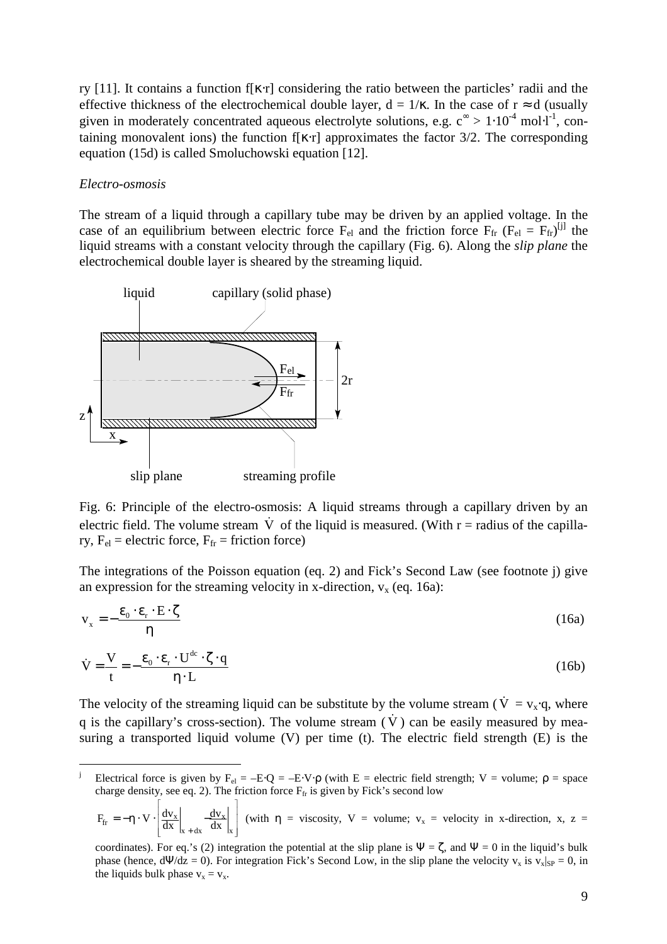ry [11]. It contains a function f[ $\kappa$ ·r] considering the ratio between the particles' radii and the effective thickness of the electrochemical double layer,  $d = 1/\kappa$ . In the case of  $r \approx d$  (usually given in moderately concentrated aqueous electrolyte solutions, e.g.  $c^{\infty} > 1 \cdot 10^{-4}$  mol $\cdot 1^{-1}$ , containing monovalent ions) the function f[ $\kappa$ ·r] approximates the factor 3/2. The corresponding equation (15d) is called Smoluchowski equation [12].

### *Electro-osmosis*

 $\overline{a}$ 

The stream of a liquid through a capillary tube may be driven by an applied voltage. In the case of an equilibrium between electric force  $F_{el}$  and the friction force  $F_{fr}$  ( $F_{el} = F_{fr}$ )<sup>[j]</sup> the liquid streams with a constant velocity through the capillary (Fig. 6). Along the *slip plane* the electrochemical double layer is sheared by the streaming liquid.



Fig. 6: Principle of the electro-osmosis: A liquid streams through a capillary driven by an electric field. The volume stream V of the liquid is measured. (With r = radius of the capillary,  $F_{el}$  = electric force,  $F_{fr}$  = friction force)

The integrations of the Poisson equation (eq. 2) and Fick's Second Law (see footnote j) give an expression for the streaming velocity in x-direction,  $v_x$  (eq. 16a):

$$
v_x = -\frac{\varepsilon_0 \cdot \varepsilon_r \cdot E \cdot \zeta}{\eta}
$$
 (16a)

$$
\dot{V} = \frac{V}{t} = -\frac{\varepsilon_0 \cdot \varepsilon_r \cdot U^{dc} \cdot \zeta \cdot q}{\eta \cdot L}
$$
\n(16b)

The velocity of the streaming liquid can be substitute by the volume stream ( $\dot{V} = v_x \cdot q$ , where q is the capillary's cross-section). The volume stream  $(\dot{V})$  can be easily measured by measuring a transported liquid volume (V) per time (t). The electric field strength (E) is the

$$
F_{fr} = -\eta \cdot V \cdot \left[ \frac{dv_x}{dx} \bigg|_{x+dx} - \frac{dv_x}{dx} \bigg|_{x} \right] \text{ (with } \eta = \text{viscosity, } V = \text{volume; } v_x = \text{velocity in } x\text{-direction, } x, z =
$$

j Electrical force is given by  $F_{el} = -E \cdot Q = -E \cdot V \cdot \rho$  (with  $E =$  electric field strength; V = volume;  $\rho =$  space charge density, see eq. 2). The friction force  $F_f$  is given by Fick's second low  $\overline{1}$  $\Gamma$ 

coordinates). For eq.'s (2) integration the potential at the slip plane is  $\Psi = \zeta$ , and  $\Psi = 0$  in the liquid's bulk phase (hence,  $d\Psi/dz = 0$ ). For integration Fick's Second Low, in the slip plane the velocity  $v_x$  is  $v_x|_{SP} = 0$ , in the liquids bulk phase  $v_x = v_x$ .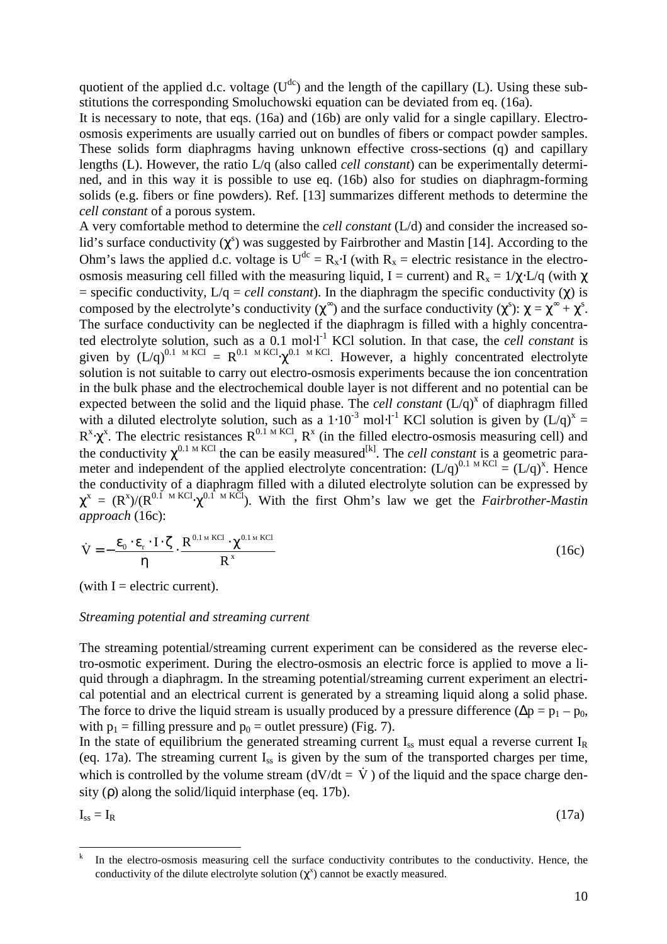quotient of the applied d.c. voltage  $(U^{dc})$  and the length of the capillary (L). Using these substitutions the corresponding Smoluchowski equation can be deviated from eq. (16a).

It is necessary to note, that eqs. (16a) and (16b) are only valid for a single capillary. Electroosmosis experiments are usually carried out on bundles of fibers or compact powder samples. These solids form diaphragms having unknown effective cross-sections (q) and capillary lengths (L). However, the ratio L/q (also called *cell constant*) can be experimentally determined, and in this way it is possible to use eq. (16b) also for studies on diaphragm-forming solids (e.g. fibers or fine powders). Ref. [13] summarizes different methods to determine the *cell constant* of a porous system.

A very comfortable method to determine the *cell constant* (L/d) and consider the increased solid's surface conductivity  $(\chi^s)$  was suggested by Fairbrother and Mastin [14]. According to the Ohm's laws the applied d.c. voltage is  $U^{dc} = R_x \cdot I$  (with  $R_x$  = electric resistance in the electroosmosis measuring cell filled with the measuring liquid, I = current) and  $R_x = 1/\gamma$ ⋅L/q (with  $\gamma$  $=$  specific conductivity,  $L/q =$  *cell constant*). In the diaphragm the specific conductivity ( $\chi$ ) is composed by the electrolyte's conductivity ( $\chi^{\infty}$ ) and the surface conductivity ( $\chi^{\infty}$ ):  $\chi = \chi^{\infty} + \chi^{\infty}$ . The surface conductivity can be neglected if the diaphragm is filled with a highly concentrated electrolyte solution, such as a 0.1 mol⋅l<sup>-1</sup> KCl solution. In that case, the *cell constant* is given by  $(L/q)^{0.1 \text{ M KCl}} = R^{0.1 \text{ M KCl}} \cdot \chi^{0.1 \text{ M KCl}}$ . However, a highly concentrated electrolyte solution is not suitable to carry out electro-osmosis experiments because the ion concentration in the bulk phase and the electrochemical double layer is not different and no potential can be expected between the solid and the liquid phase. The *cell constant*  $(L/q)^x$  of diaphragm filled with a diluted electrolyte solution, such as a 1⋅10<sup>-3</sup> mol⋅l<sup>-1</sup> KCl solution is given by  $(L/q)^x =$  $R^x \cdot \chi^x$ . The electric resistances  $R^{0.1 \text{ M KCl}}$ ,  $R^x$  (in the filled electro-osmosis measuring cell) and the conductivity  $\chi^{0.1 \text{ M KCl}}$  the can be easily measured<sup>[k]</sup>. The *cell constant* is a geometric parameter and independent of the applied electrolyte concentration:  $(L/q)^{0.1 \text{ M KCl}} = (L/q)^x$ . Hence the conductivity of a diaphragm filled with a diluted electrolyte solution can be expressed by  $\chi^x = (R^x)/(R^{0.1 \text{ M KCl}} \cdot \chi^{0.1 \text{ M KCl}})$ . With the first Ohm's law we get the *Fairbrother-Mastin approach* (16c):

$$
\dot{V} = -\frac{\varepsilon_0 \cdot \varepsilon_r \cdot I \cdot \zeta}{\eta} \cdot \frac{R^{0.1 \text{ m KCl}} \cdot \chi^{0.1 \text{ m KCl}}}{R^x}
$$
(16c)

(with  $I =$  electric current).

#### *Streaming potential and streaming current*

The streaming potential/streaming current experiment can be considered as the reverse electro-osmotic experiment. During the electro-osmosis an electric force is applied to move a liquid through a diaphragm. In the streaming potential/streaming current experiment an electrical potential and an electrical current is generated by a streaming liquid along a solid phase. The force to drive the liquid stream is usually produced by a pressure difference ( $\Delta p = p_1 - p_0$ , with  $p_1$  = filling pressure and  $p_0$  = outlet pressure) (Fig. 7).

In the state of equilibrium the generated streaming current  $I_{ss}$  must equal a reverse current  $I_{R}$ (eq. 17a). The streaming current  $I_{ss}$  is given by the sum of the transported charges per time, which is controlled by the volume stream  $(dV/dt = \dot{V})$  of the liquid and the space charge density ( $\rho$ ) along the solid/liquid interphase (eq. 17b).

 $I_{ss} = I_R$  (17a)

 $\overline{a}$ 

$$
(17a)
$$

k In the electro-osmosis measuring cell the surface conductivity contributes to the conductivity. Hence, the conductivity of the dilute electrolyte solution  $(\chi^x)$  cannot be exactly measured.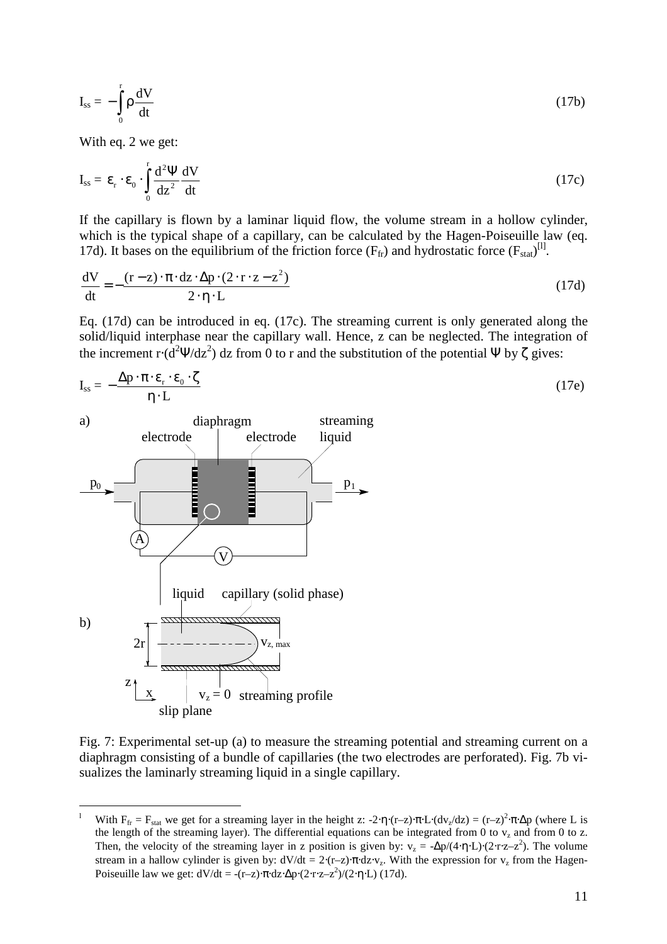$$
I_{ss} = -\int_{0}^{r} \rho \frac{dV}{dt}
$$
 (17b)

With eq. 2 we get:

 $\overline{a}$ 

$$
I_{ss} = \varepsilon_r \cdot \varepsilon_0 \cdot \int_0^r \frac{d^2 \Psi}{dz^2} \frac{dV}{dt}
$$
 (17c)

If the capillary is flown by a laminar liquid flow, the volume stream in a hollow cylinder, which is the typical shape of a capillary, can be calculated by the Hagen-Poiseuille law (eq. 17d). It bases on the equilibrium of the friction force  $(F_{fr})$  and hydrostatic force  $(F_{stat})^{[1]}$ .

$$
\frac{dV}{dt} = -\frac{(r-z)\cdot \pi \cdot dz \cdot \Delta p \cdot (2 \cdot r \cdot z - z^2)}{2 \cdot \eta \cdot L}
$$
\n(17d)

Eq. (17d) can be introduced in eq. (17c). The streaming current is only generated along the solid/liquid interphase near the capillary wall. Hence, z can be neglected. The integration of the increment  $\mathbf{r} \cdot (\mathbf{d}^2 \mathbf{Y}/d\mathbf{z}^2)$  dz from 0 to r and the substitution of the potential Ψ by  $\zeta$  gives:

$$
I_{ss} = -\frac{\Delta p \cdot \pi \cdot \varepsilon_{r} \cdot \varepsilon_{0} \cdot \zeta}{\eta \cdot L}
$$
 (17e)



Fig. 7: Experimental set-up (a) to measure the streaming potential and streaming current on a diaphragm consisting of a bundle of capillaries (the two electrodes are perforated). Fig. 7b visualizes the laminarly streaming liquid in a single capillary.

l With  $F_{fr} = F_{stat}$  we get for a streaming layer in the height z: -2⋅η⋅(r–z)⋅π⋅L⋅(dv<sub>z</sub>/dz) = (r–z)<sup>2</sup>⋅π⋅Δp (where L is the length of the streaming layer). The differential equations can be integrated from 0 to  $v_z$  and from 0 to z. Then, the velocity of the streaming layer in z position is given by:  $v_z = -\Delta p/(4 \cdot \eta \cdot L) \cdot (2 \cdot r \cdot z - z^2)$ . The volume stream in a hallow cylinder is given by:  $dV/dt = 2·(r-z)·\pi \cdot dz·v_z$ . With the expression for  $v_z$  from the Hagen-Poiseuille law we get:  $dV/dt = -(r-z) \cdot \pi \cdot dz \cdot \Delta p \cdot (2 \cdot r \cdot z - z^2)/(2 \cdot \eta \cdot L)$  (17d).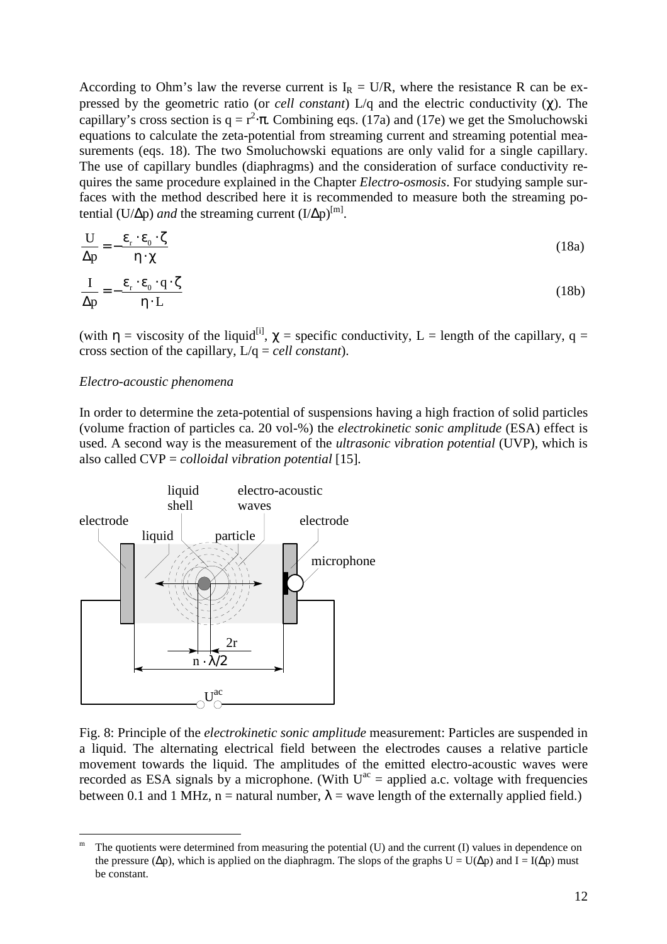According to Ohm's law the reverse current is  $I_R = U/R$ , where the resistance R can be expressed by the geometric ratio (or *cell constant*) L/q and the electric conductivity (χ). The capillary's cross section is  $q = r^2 \cdot \pi$ . Combining eqs. (17a) and (17e) we get the Smoluchowski equations to calculate the zeta-potential from streaming current and streaming potential measurements (eqs. 18). The two Smoluchowski equations are only valid for a single capillary. The use of capillary bundles (diaphragms) and the consideration of surface conductivity requires the same procedure explained in the Chapter *Electro-osmosis*. For studying sample surfaces with the method described here it is recommended to measure both the streaming potential (U/ $\Delta p$ ) *and* the streaming current (I/ $\Delta p$ <sup>[m]</sup>.

$$
\frac{U}{\Delta p} = -\frac{\varepsilon_r \cdot \varepsilon_0 \cdot \zeta}{\eta \cdot \chi} \tag{18a}
$$

$$
\frac{I}{\Delta p} = -\frac{\varepsilon_r \cdot \varepsilon_0 \cdot q \cdot \zeta}{\eta \cdot L}
$$
 (18b)

(with  $\eta$  = viscosity of the liquid<sup>[i]</sup>,  $\chi$  = specific conductivity, L = length of the capillary, q = cross section of the capillary, L/q = *cell constant*).

#### *Electro-acoustic phenomena*

In order to determine the zeta-potential of suspensions having a high fraction of solid particles (volume fraction of particles ca. 20 vol-%) the *electrokinetic sonic amplitude* (ESA) effect is used. A second way is the measurement of the *ultrasonic vibration potential* (UVP), which is also called CVP = *colloidal vibration potential* [15]*.*



Fig. 8: Principle of the *electrokinetic sonic amplitude* measurement: Particles are suspended in a liquid. The alternating electrical field between the electrodes causes a relative particle movement towards the liquid. The amplitudes of the emitted electro-acoustic waves were recorded as ESA signals by a microphone. (With  $U^{ac}$  = applied a.c. voltage with frequencies between 0.1 and 1 MHz, n = natural number,  $\lambda$  = wave length of the externally applied field.)

 $\overline{a}$ m The quotients were determined from measuring the potential (U) and the current (I) values in dependence on the pressure ( $\Delta p$ ), which is applied on the diaphragm. The slops of the graphs U = U( $\Delta p$ ) and I = I( $\Delta p$ ) must be constant.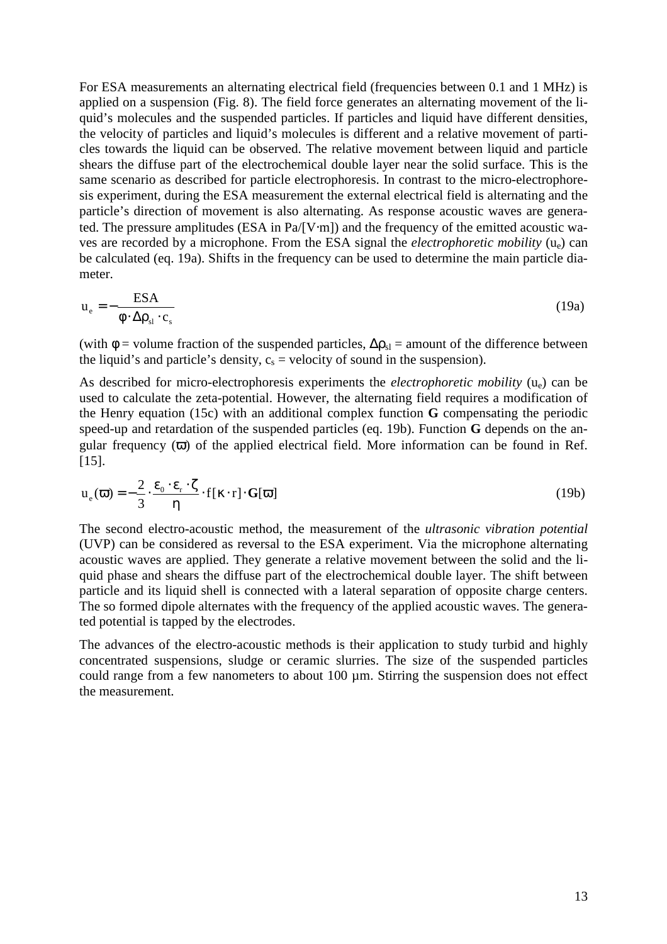For ESA measurements an alternating electrical field (frequencies between 0.1 and 1 MHz) is applied on a suspension (Fig. 8). The field force generates an alternating movement of the liquid's molecules and the suspended particles. If particles and liquid have different densities, the velocity of particles and liquid's molecules is different and a relative movement of particles towards the liquid can be observed. The relative movement between liquid and particle shears the diffuse part of the electrochemical double layer near the solid surface. This is the same scenario as described for particle electrophoresis. In contrast to the micro-electrophoresis experiment, during the ESA measurement the external electrical field is alternating and the particle's direction of movement is also alternating. As response acoustic waves are generated. The pressure amplitudes (ESA in Pa/[V⋅m]) and the frequency of the emitted acoustic waves are recorded by a microphone. From the ESA signal the *electrophoretic mobility* (ue) can be calculated (eq. 19a). Shifts in the frequency can be used to determine the main particle diameter.

$$
u_e = -\frac{ESA}{\phi \cdot \Delta \rho_{sl} \cdot c_s} \tag{19a}
$$

(with  $\phi$  = volume fraction of the suspended particles,  $\Delta \rho_{sl}$  = amount of the difference between the liquid's and particle's density,  $c_s$  = velocity of sound in the suspension).

As described for micro-electrophoresis experiments the *electrophoretic mobility* (ue) can be used to calculate the zeta-potential. However, the alternating field requires a modification of the Henry equation (15c) with an additional complex function **G** compensating the periodic speed-up and retardation of the suspended particles (eq. 19b). Function **G** depends on the angular frequency  $(\overline{\omega})$  of the applied electrical field. More information can be found in Ref. [15].

$$
u_e(\boldsymbol{\omega}) = -\frac{2}{3} \cdot \frac{\varepsilon_0 \cdot \varepsilon_r \cdot \zeta}{\eta} \cdot f[\kappa \cdot r] \cdot G[\boldsymbol{\omega}]
$$
 (19b)

The second electro-acoustic method, the measurement of the *ultrasonic vibration potential*  (UVP) can be considered as reversal to the ESA experiment. Via the microphone alternating acoustic waves are applied. They generate a relative movement between the solid and the liquid phase and shears the diffuse part of the electrochemical double layer. The shift between particle and its liquid shell is connected with a lateral separation of opposite charge centers. The so formed dipole alternates with the frequency of the applied acoustic waves. The generated potential is tapped by the electrodes.

The advances of the electro-acoustic methods is their application to study turbid and highly concentrated suspensions, sludge or ceramic slurries. The size of the suspended particles could range from a few nanometers to about 100 µm. Stirring the suspension does not effect the measurement.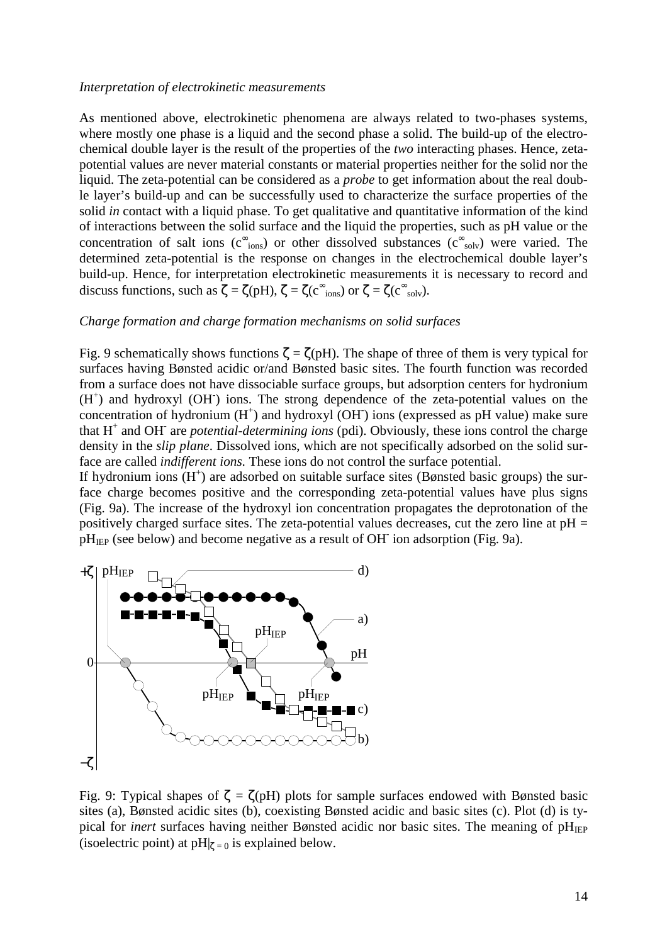#### *Interpretation of electrokinetic measurements*

As mentioned above, electrokinetic phenomena are always related to two-phases systems, where mostly one phase is a liquid and the second phase a solid. The build-up of the electrochemical double layer is the result of the properties of the *two* interacting phases. Hence, zetapotential values are never material constants or material properties neither for the solid nor the liquid. The zeta-potential can be considered as a *probe* to get information about the real double layer's build-up and can be successfully used to characterize the surface properties of the solid *in* contact with a liquid phase. To get qualitative and quantitative information of the kind of interactions between the solid surface and the liquid the properties, such as pH value or the concentration of salt ions ( $c^{\infty}$ <sub>ions</sub>) or other dissolved substances ( $c^{\infty}$ <sub>solv</sub>) were varied. The determined zeta-potential is the response on changes in the electrochemical double layer's build-up. Hence, for interpretation electrokinetic measurements it is necessary to record and discuss functions, such as  $\zeta = \zeta(pH)$ ,  $\zeta = \zeta(c_{\text{cons}})$  or  $\zeta = \zeta(c_{\text{solv}})$ .

### *Charge formation and charge formation mechanisms on solid surfaces*

Fig. 9 schematically shows functions  $\zeta = \zeta(pH)$ . The shape of three of them is very typical for surfaces having Bønsted acidic or/and Bønsted basic sites. The fourth function was recorded from a surface does not have dissociable surface groups, but adsorption centers for hydronium (H<sup>+</sup>) and hydroxyl (OH<sup>-</sup>) ions. The strong dependence of the zeta-potential values on the concentration of hydronium  $(H<sup>+</sup>)$  and hydroxyl (OH) ions (expressed as pH value) make sure that H<sup>+</sup> and OH<sup>-</sup> are *potential-determining ions* (pdi). Obviously, these ions control the charge density in the *slip plane*. Dissolved ions, which are not specifically adsorbed on the solid surface are called *indifferent ions.* These ions do not control the surface potential.

If hydronium ions  $(H<sup>+</sup>)$  are adsorbed on suitable surface sites (Bønsted basic groups) the surface charge becomes positive and the corresponding zeta-potential values have plus signs (Fig. 9a). The increase of the hydroxyl ion concentration propagates the deprotonation of the positively charged surface sites. The zeta-potential values decreases, cut the zero line at  $pH =$  $pH<sub>IEP</sub>$  (see below) and become negative as a result of OH<sup>-</sup> ion adsorption (Fig. 9a).



Fig. 9: Typical shapes of  $\zeta = \zeta(pH)$  plots for sample surfaces endowed with Bønsted basic sites (a), Bønsted acidic sites (b), coexisting Bønsted acidic and basic sites (c). Plot (d) is typical for *inert* surfaces having neither Bønsted acidic nor basic sites. The meaning of pH<sub>IEP</sub> (isoelectric point) at  $pH|_{\zeta=0}$  is explained below.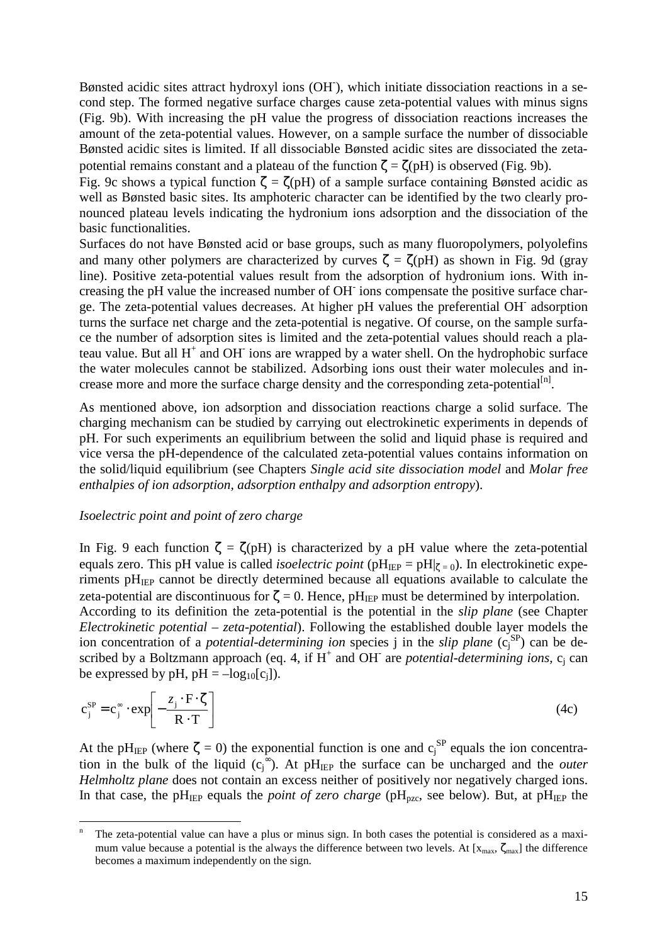Bønsted acidic sites attract hydroxyl ions (OH), which initiate dissociation reactions in a second step. The formed negative surface charges cause zeta-potential values with minus signs (Fig. 9b). With increasing the pH value the progress of dissociation reactions increases the amount of the zeta-potential values. However, on a sample surface the number of dissociable Bønsted acidic sites is limited. If all dissociable Bønsted acidic sites are dissociated the zetapotential remains constant and a plateau of the function  $\zeta = \zeta(pH)$  is observed (Fig. 9b).

Fig. 9c shows a typical function  $\zeta = \zeta(pH)$  of a sample surface containing Bønsted acidic as well as Bønsted basic sites. Its amphoteric character can be identified by the two clearly pronounced plateau levels indicating the hydronium ions adsorption and the dissociation of the basic functionalities.

Surfaces do not have Bønsted acid or base groups, such as many fluoropolymers, polyolefins and many other polymers are characterized by curves  $\zeta = \zeta(pH)$  as shown in Fig. 9d (gray line). Positive zeta-potential values result from the adsorption of hydronium ions. With increasing the pH value the increased number of OH<sup>-</sup> ions compensate the positive surface charge. The zeta-potential values decreases. At higher pH values the preferential OH- adsorption turns the surface net charge and the zeta-potential is negative. Of course, on the sample surface the number of adsorption sites is limited and the zeta-potential values should reach a plateau value. But all  $H^+$  and OH ions are wrapped by a water shell. On the hydrophobic surface the water molecules cannot be stabilized. Adsorbing ions oust their water molecules and increase more and more the surface charge density and the corresponding zeta-potential $[<sup>[n]</sup>$ .

As mentioned above, ion adsorption and dissociation reactions charge a solid surface. The charging mechanism can be studied by carrying out electrokinetic experiments in depends of pH. For such experiments an equilibrium between the solid and liquid phase is required and vice versa the pH-dependence of the calculated zeta-potential values contains information on the solid/liquid equilibrium (see Chapters *Single acid site dissociation model* and *Molar free enthalpies of ion adsorption, adsorption enthalpy and adsorption entropy*).

### *Isoelectric point and point of zero charge*

 $\overline{a}$ 

In Fig. 9 each function  $\zeta = \zeta(pH)$  is characterized by a pH value where the zeta-potential equals zero. This pH value is called *isoelectric point* (pH<sub>IEP</sub> = pH $|_{\zeta=0}$ ). In electrokinetic experiments  $pH<sub>IEP</sub>$  cannot be directly determined because all equations available to calculate the zeta-potential are discontinuous for  $\zeta = 0$ . Hence, pH<sub>IEP</sub> must be determined by interpolation. According to its definition the zeta-potential is the potential in the *slip plane* (see Chapter *Electrokinetic potential – zeta-potential*). Following the established double layer models the ion concentration of a *potential-determining ion* species j in the *slip plane* (c<sub>j</sub><sup>SP</sup>) can be described by a Boltzmann approach (eq. 4, if  $H^+$  and OH<sup>-</sup> are *potential-determining ions*,  $c_j$  can be expressed by pH,  $pH = -log_{10}[c_i]$ ).

$$
c_j^{SP} = c_j^{\infty} \cdot \exp\left[-\frac{z_j \cdot F \cdot \zeta}{R \cdot T}\right]
$$
 (4c)

At the pH<sub>IEP</sub> (where  $\zeta = 0$ ) the exponential function is one and  $c_j^{SP}$  equals the ion concentration in the bulk of the liquid  $(c_j^{\infty})$ . At pH<sub>IEP</sub> the surface can be uncharged and the *outer Helmholtz plane* does not contain an excess neither of positively nor negatively charged ions. In that case, the pH<sub>IEP</sub> equals the *point of zero charge* (pH<sub>pzc</sub>, see below). But, at pH<sub>IEP</sub> the

n The zeta-potential value can have a plus or minus sign. In both cases the potential is considered as a maximum value because a potential is the always the difference between two levels. At  $[x_{max}, \zeta_{max}]$  the difference becomes a maximum independently on the sign.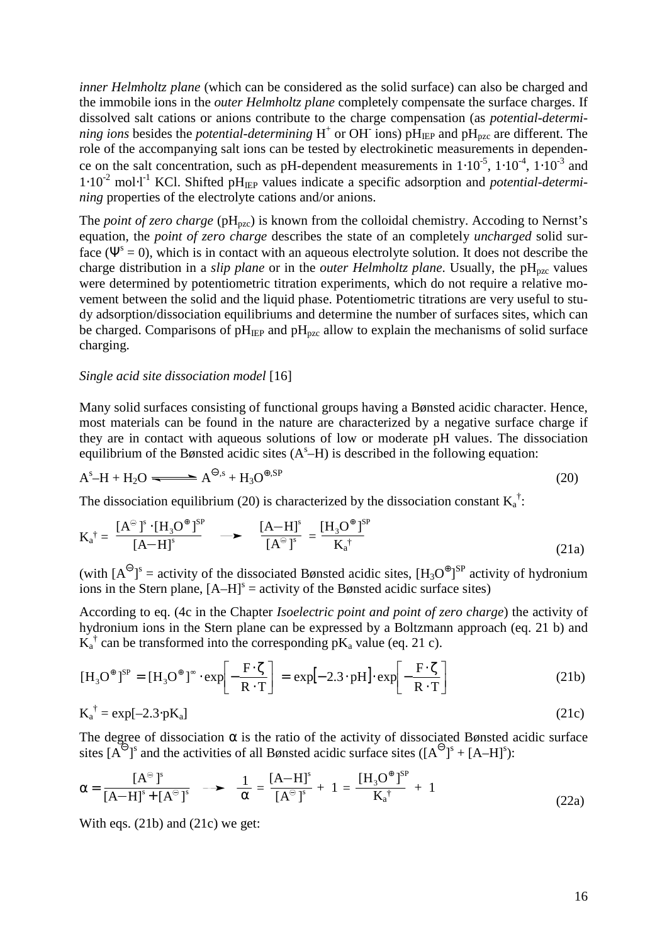*inner Helmholtz plane* (which can be considered as the solid surface) can also be charged and the immobile ions in the *outer Helmholtz plane* completely compensate the surface charges. If dissolved salt cations or anions contribute to the charge compensation (as *potential-determining ions* besides the *potential-determining*  $H^+$  or OH ions)  $p\overline{H}_{I\to P}$  and  $pH_{pzc}$  are different. The role of the accompanying salt ions can be tested by electrokinetic measurements in dependence on the salt concentration, such as pH-dependent measurements in  $1 \cdot 10^{-5}$ ,  $1 \cdot 10^{-4}$ ,  $1 \cdot 10^{-3}$  and 1⋅10-2 mol⋅l -1 KCl. Shifted pHIEP values indicate a specific adsorption and *potential-determining* properties of the electrolyte cations and/or anions.

The *point of zero charge* (pH<sub>pzc</sub>) is known from the colloidal chemistry. Accoding to Nernst's equation, the *point of zero charge* describes the state of an completely *uncharged* solid surface ( $\Psi^s = 0$ ), which is in contact with an aqueous electrolyte solution. It does not describe the charge distribution in a *slip plane* or in the *outer Helmholtz plane*. Usually, the  $pH_{pzc}$  values were determined by potentiometric titration experiments, which do not require a relative movement between the solid and the liquid phase. Potentiometric titrations are very useful to study adsorption/dissociation equilibriums and determine the number of surfaces sites, which can be charged. Comparisons of  $pH_{\text{IEP}}$  and  $pH_{\text{pzc}}$  allow to explain the mechanisms of solid surface charging.

### *Single acid site dissociation model* [16]

Many solid surfaces consisting of functional groups having a Bønsted acidic character. Hence, most materials can be found in the nature are characterized by a negative surface charge if they are in contact with aqueous solutions of low or moderate pH values. The dissociation equilibrium of the Bønsted acidic sites  $(A<sup>s</sup>-H)$  is described in the following equation:

$$
A^s - H + H_2O \longrightarrow A^{\Theta,s} + H_3O^{\Theta,SP} \tag{20}
$$

The dissociation equilibrium (20) is characterized by the dissociation constant  $K_a^{\dagger}$ :

$$
K_{a}^{\dagger} = \frac{[A^{\ominus}]^{s} \cdot [H_{3}O^{\oplus}]^{SP}}{[A-H]^{s}} \longrightarrow \frac{[A-H]^{s}}{[A^{\ominus}]^{s}} = \frac{[H_{3}O^{\oplus}]^{SP}}{K_{a}^{\dagger}}
$$
(21a)

(with  $[A^{\Theta}]^s$  = activity of the dissociated Bønsted acidic sites,  $[H_3O^{\Theta}]^{SP}$  activity of hydronium ions in the Stern plane,  $[A-H]$ <sup>s</sup> = activity of the Bønsted acidic surface sites)

According to eq. (4c in the Chapter *Isoelectric point and point of zero charge*) the activity of hydronium ions in the Stern plane can be expressed by a Boltzmann approach (eq. 21 b) and  $\overline{K}_a^{\dagger}$  can be transformed into the corresponding p $K_a$  value (eq. 21 c).

$$
[\mathbf{H}_3 \mathbf{O}^{\oplus}]^{SP} = [\mathbf{H}_3 \mathbf{O}^{\oplus}]^{\infty} \cdot \exp\left[-\frac{\mathbf{F} \cdot \zeta}{\mathbf{R} \cdot \mathbf{T}}\right] = \exp\left[-2.3 \cdot \mathbf{p} \mathbf{H}\right] \cdot \exp\left[-\frac{\mathbf{F} \cdot \zeta}{\mathbf{R} \cdot \mathbf{T}}\right]
$$
(21b)

$$
K_a^{\dagger} = \exp[-2.3 \cdot pK_a]
$$
 (21c)

The degree of dissociation  $\alpha$  is the ratio of the activity of dissociated Bønsted acidic surface sites  $[A^{\ominus}]^s$  and the activities of all Bønsted acidic surface sites  $([A^{\ominus}]^s + [A-H]^s)$ :

$$
\alpha = \frac{[A^{\ominus}]^{s}}{[A-H]^{s} + [A^{\ominus}]^{s}} \longrightarrow \frac{1}{\alpha} = \frac{[A-H]^{s}}{[A^{\ominus}]^{s}} + 1 = \frac{[H_{3}O^{\oplus}]^{SP}}{K_{a}^{\dagger}} + 1
$$
(22a)

With eqs. (21b) and (21c) we get: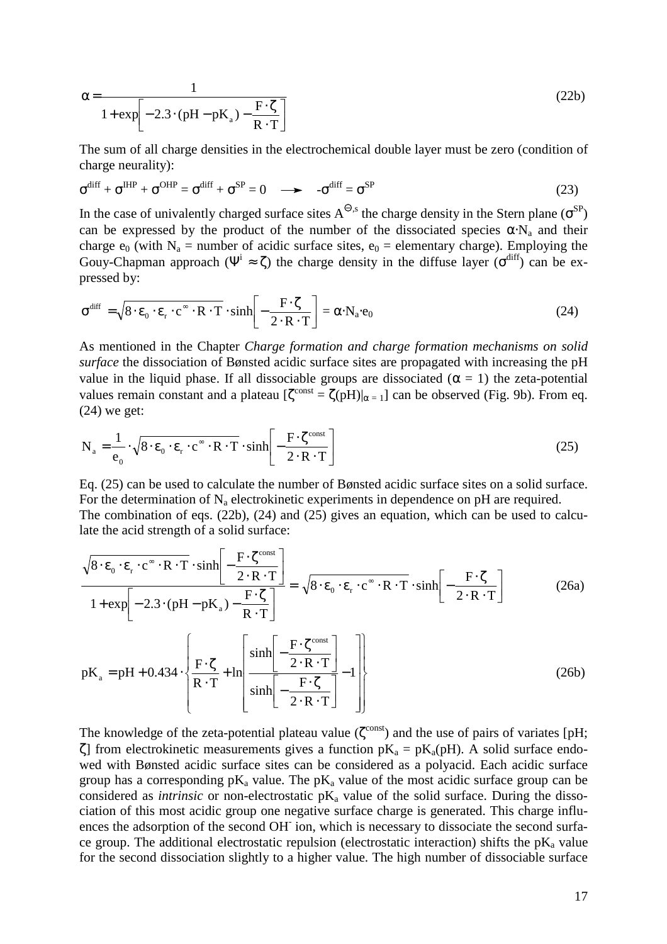$$
\alpha = \frac{1}{1 + \exp\left[-2.3 \cdot (pH - pK_a) - \frac{F \cdot \zeta}{R \cdot T}\right]}
$$
(22b)

The sum of all charge densities in the electrochemical double layer must be zero (condition of charge neurality):

$$
\sigma^{\text{diff}} + \sigma^{\text{HIP}} + \sigma^{\text{OHP}} = \sigma^{\text{diff}} + \sigma^{\text{SP}} = 0 \quad \longrightarrow \quad -\sigma^{\text{diff}} = \sigma^{\text{SP}}
$$
(23)

In the case of univalently charged surface sites  $A^{\Theta,s}$  the charge density in the Stern plane ( $\sigma^{SP}$ ) can be expressed by the product of the number of the dissociated species  $\alpha \cdot N_a$  and their charge  $e_0$  (with  $N_a$  = number of acidic surface sites,  $e_0$  = elementary charge). Employing the Gouy-Chapman approach ( $\Psi^i \approx \zeta$ ) the charge density in the diffuse layer ( $\sigma^{diff}$ ) can be expressed by:

$$
\sigma^{\text{diff}} = \sqrt{8 \cdot \varepsilon_0 \cdot \varepsilon_r \cdot c^{\infty} \cdot R \cdot T} \cdot \sinh\left[-\frac{F \cdot \zeta}{2 \cdot R \cdot T}\right] = \alpha \cdot N_a \cdot e_0 \tag{24}
$$

As mentioned in the Chapter *Charge formation and charge formation mechanisms on solid surface* the dissociation of Bønsted acidic surface sites are propagated with increasing the pH value in the liquid phase. If all dissociable groups are dissociated ( $\alpha = 1$ ) the zeta-potential values remain constant and a plateau  $[\zeta^{\text{const}} = \zeta(pH)|_{\alpha=1}]$  can be observed (Fig. 9b). From eq. (24) we get:

$$
N_a = \frac{1}{e_0} \cdot \sqrt{8 \cdot \varepsilon_0 \cdot \varepsilon_r \cdot c^{\infty} \cdot R \cdot T} \cdot \sinh\left[-\frac{F \cdot \zeta^{\text{const}}}{2 \cdot R \cdot T}\right]
$$
(25)

Eq. (25) can be used to calculate the number of Bønsted acidic surface sites on a solid surface. For the determination of  $N_a$  electrokinetic experiments in dependence on pH are required. The combination of eqs. (22b), (24) and (25) gives an equation, which can be used to calculate the acid strength of a solid surface:

$$
\frac{\sqrt{8 \cdot \varepsilon_0 \cdot \varepsilon_r \cdot c^{\infty} \cdot R \cdot T} \cdot \sinh\left[-\frac{F \cdot \zeta^{\text{const}}}{2 \cdot R \cdot T}\right]}{1 + \exp\left[-2.3 \cdot (pH - pK_a) - \frac{F \cdot \zeta}{R \cdot T}\right]} = \sqrt{8 \cdot \varepsilon_0 \cdot \varepsilon_r \cdot c^{\infty} \cdot R \cdot T} \cdot \sinh\left[-\frac{F \cdot \zeta}{2 \cdot R \cdot T}\right]
$$
(26a)  

$$
pK_a = pH + 0.434 \cdot \left\{\frac{F \cdot \zeta}{R \cdot T} + \ln\left[\frac{\sinh\left[-\frac{F \cdot \zeta^{\text{const}}}{2 \cdot R \cdot T}\right]}{1 + \frac{F \cdot \zeta}{2 \cdot R \cdot T}\right] - 1\right\}
$$
(26b)

The knowledge of the zeta-potential plateau value ( $\zeta^{\text{const}}$ ) and the use of pairs of variates [pH; ζ] from electrokinetic measurements gives a function  $pK_a = pK_a(pH)$ . A solid surface endowed with Bønsted acidic surface sites can be considered as a polyacid. Each acidic surface group has a corresponding  $pK_a$  value. The  $pK_a$  value of the most acidic surface group can be considered as *intrinsic* or non-electrostatic  $pK_a$  value of the solid surface. During the dissociation of this most acidic group one negative surface charge is generated. This charge influences the adsorption of the second OH<sup>-</sup> ion, which is necessary to dissociate the second surface group. The additional electrostatic repulsion (electrostatic interaction) shifts the  $pK_a$  value for the second dissociation slightly to a higher value. The high number of dissociable surface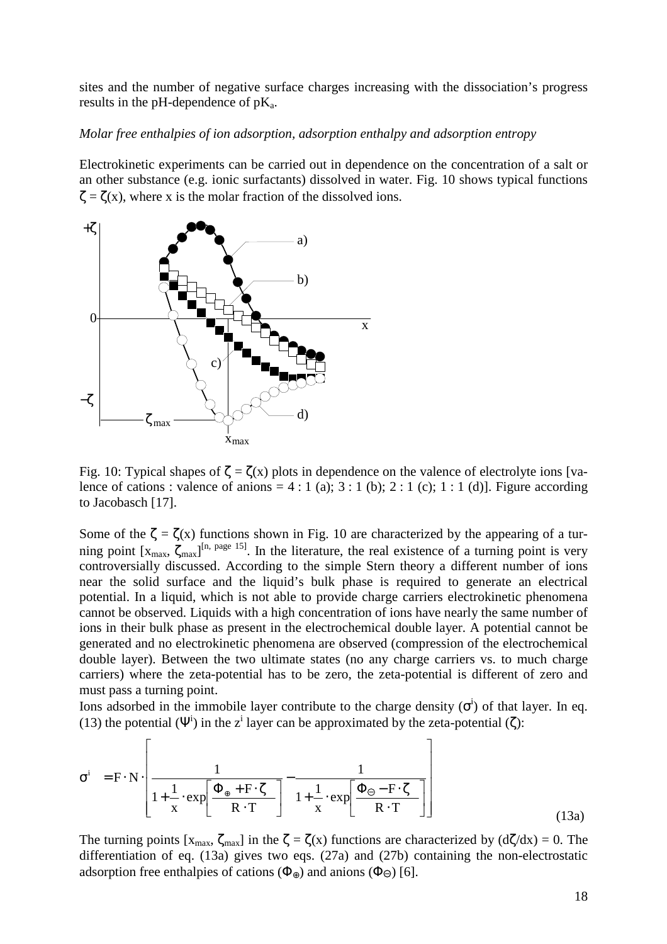sites and the number of negative surface charges increasing with the dissociation's progress results in the pH-dependence of  $pK_a$ .

### *Molar free enthalpies of ion adsorption, adsorption enthalpy and adsorption entropy*

Electrokinetic experiments can be carried out in dependence on the concentration of a salt or an other substance (e.g. ionic surfactants) dissolved in water. Fig. 10 shows typical functions  $\zeta = \zeta(x)$ , where x is the molar fraction of the dissolved ions.



Fig. 10: Typical shapes of  $\zeta = \zeta(x)$  plots in dependence on the valence of electrolyte ions [valence of cations : valence of anions = 4 : 1 (a); 3 : 1 (b); 2 : 1 (c); 1 : 1 (d)]. Figure according to Jacobasch [17].

Some of the  $\zeta = \zeta(x)$  functions shown in Fig. 10 are characterized by the appearing of a turning point  $[x_{max}, \zeta_{max}]^{[n, page 15]}$ . In the literature, the real existence of a turning point is very controversially discussed. According to the simple Stern theory a different number of ions near the solid surface and the liquid's bulk phase is required to generate an electrical potential. In a liquid, which is not able to provide charge carriers electrokinetic phenomena cannot be observed. Liquids with a high concentration of ions have nearly the same number of ions in their bulk phase as present in the electrochemical double layer. A potential cannot be generated and no electrokinetic phenomena are observed (compression of the electrochemical double layer). Between the two ultimate states (no any charge carriers vs. to much charge carriers) where the zeta-potential has to be zero, the zeta-potential is different of zero and must pass a turning point.

Ions adsorbed in the immobile layer contribute to the charge density  $(\sigma^i)$  of that layer. In eq. (13) the potential ( $\Psi^i$ ) in the z<sup>i</sup> layer can be approximated by the zeta-potential ( $\zeta$ ):

$$
\sigma^{i} = F \cdot N \cdot \left[ \frac{1}{1 + \frac{1}{x} \cdot \exp\left[\frac{\Phi_{\oplus} + F \cdot \zeta}{R \cdot T}\right]} - \frac{1}{1 + \frac{1}{x} \cdot \exp\left[\frac{\Phi_{\ominus} - F \cdot \zeta}{R \cdot T}\right]} \right]
$$
(13a)

The turning points  $[x_{\text{max}}, \zeta_{\text{max}}]$  in the  $\zeta = \zeta(x)$  functions are characterized by  $(d\zeta/dx) = 0$ . The differentiation of eq. (13a) gives two eqs. (27a) and (27b) containing the non-electrostatic adsorption free enthalpies of cations ( $\Phi_{\oplus}$ ) and anions ( $\Phi_{\ominus}$ ) [6].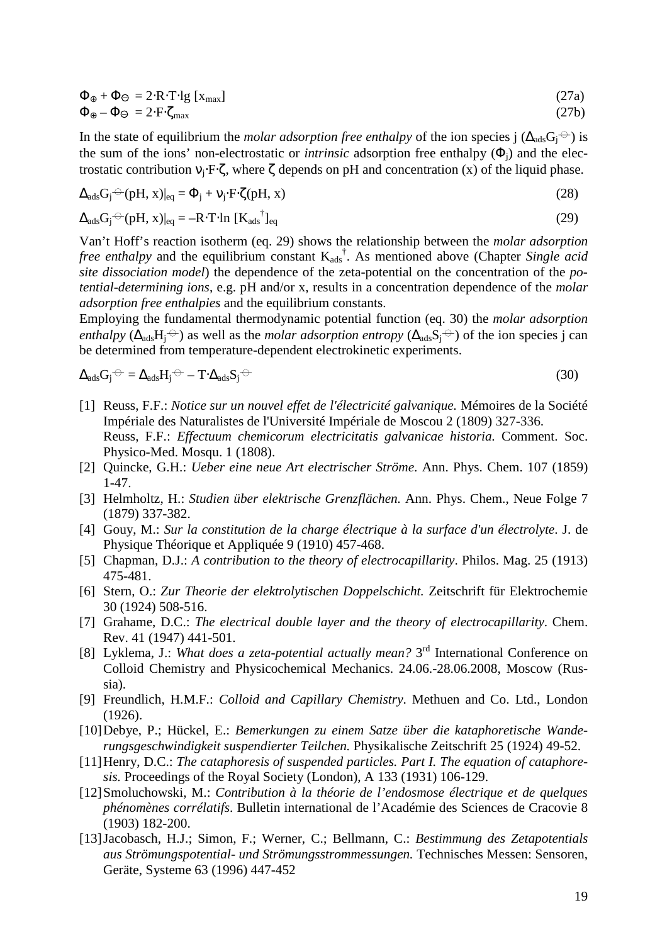$$
\Phi_{\oplus} + \Phi_{\ominus} = 2 \cdot R \cdot T \cdot \lg [x_{\text{max}}]
$$
\n(27a)

$$
\Phi_{\oplus} - \Phi_{\ominus} = 2 \cdot F \cdot \zeta_{\text{max}} \tag{27b}
$$

In the state of equilibrium the *molar adsorption free enthalpy* of the ion species j ( $\Delta_{ads}G_i^{\ominus}$ ) is the sum of the ions' non-electrostatic or *intrinsic* adsorption free enthalpy  $(\Phi_i)$  and the electrostatic contribution  $v_j$ : F⋅ζ, where ζ depends on pH and concentration (x) of the liquid phase.

$$
\Delta_{\text{ads}} G_j^{\ominus} (pH, x)|_{\text{eq}} = \Phi_j + v_j \cdot F \cdot \zeta(pH, x) \tag{28}
$$

$$
\Delta_{\text{ads}} G_j \triangleq (pH, x)|_{\text{eq}} = -R \cdot T \cdot \ln \left[ K_{\text{ads}}^{\dagger} \right]_{\text{eq}}
$$
\n(29)

Van't Hoff's reaction isotherm (eq. 29) shows the relationship between the *molar adsorption free enthalpy* and the equilibrium constant  $K_{ads}^{\dagger}$ . As mentioned above (Chapter *Single acid site dissociation model*) the dependence of the zeta-potential on the concentration of the *potential-determining ions*, e.g. pH and/or x, results in a concentration dependence of the *molar adsorption free enthalpies* and the equilibrium constants.

Employing the fundamental thermodynamic potential function (eq. 30) the *molar adsorption enthalpy* ( $\Delta_{ads}H_i^{\ominus}$ ) as well as the *molar adsorption entropy* ( $\Delta_{ads}S_i^{\ominus}$ ) of the ion species j can be determined from temperature-dependent electrokinetic experiments.

$$
\Delta_{\text{ads}} G_j \ominus = \Delta_{\text{ads}} H_j \ominus -T \cdot \Delta_{\text{ads}} S_j \ominus \tag{30}
$$

- [1] Reuss, F.F.: *Notice sur un nouvel effet de l'électricité galvanique.* Mémoires de la Société Impériale des Naturalistes de l'Université Impériale de Moscou 2 (1809) 327-336. Reuss, F.F.: *Effectuum chemicorum electricitatis galvanicae historia.* Comment. Soc. Physico-Med. Mosqu. 1 (1808).
- [2] Quincke, G.H.: *Ueber eine neue Art electrischer Ströme*. Ann. Phys. Chem. 107 (1859) 1-47.
- [3] Helmholtz, H.: *Studien über elektrische Grenzflächen.* Ann. Phys. Chem., Neue Folge 7 (1879) 337-382.
- [4] Gouy, M.: *Sur la constitution de la charge électrique à la surface d'un électrolyte*. J. de Physique Théorique et Appliquée 9 (1910) 457-468.
- [5] Chapman, D.J.: *A contribution to the theory of electrocapillarity*. Philos. Mag. 25 (1913) 475-481.
- [6] Stern, O.: *Zur Theorie der elektrolytischen Doppelschicht.* Zeitschrift für Elektrochemie 30 (1924) 508-516.
- [7] Grahame, D.C.: *The electrical double layer and the theory of electrocapillarity*. Chem. Rev. 41 (1947) 441-501.
- [8] Lyklema, J.: *What does a zeta-potential actually mean?* 3<sup>rd</sup> International Conference on Colloid Chemistry and Physicochemical Mechanics. 24.06.-28.06.2008, Moscow (Russia).
- [9] Freundlich, H.M.F.: *Colloid and Capillary Chemistry*. Methuen and Co. Ltd., London (1926).
- [10] Debye, P.; Hückel, E.: *Bemerkungen zu einem Satze über die kataphoretische Wanderungsgeschwindigkeit suspendierter Teilchen.* Physikalische Zeitschrift 25 (1924) 49-52.
- [11] Henry, D.C.: *The cataphoresis of suspended particles. Part I. The equation of cataphoresis.* Proceedings of the Royal Society (London), A 133 (1931) 106-129.
- [12] Smoluchowski, M.: *Contribution à la théorie de l'endosmose électrique et de quelques phénomènes corrélatifs*. Bulletin international de l'Académie des Sciences de Cracovie 8 (1903) 182-200.
- [13] Jacobasch, H.J.; Simon, F.; Werner, C.; Bellmann, C.: *Bestimmung des Zetapotentials aus Strömungspotential- und Strömungsstrommessungen.* Technisches Messen: Sensoren, Geräte, Systeme 63 (1996) 447-452